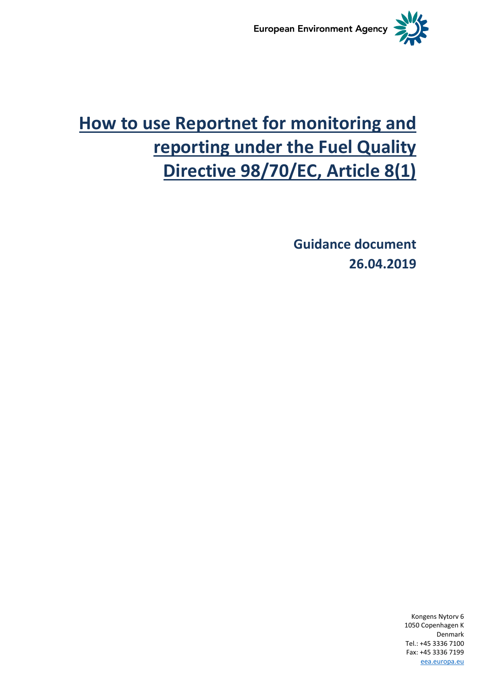

# **How to use Reportnet for monitoring and reporting under the Fuel Quality Directive 98/70/EC, Article 8(1)**

**Guidance document 26.04.2019**

> Kongens Nytorv 6 1050 Copenhagen K Denmark Tel.: +45 3336 7100 Fax: +45 3336 7199 [eea.europa.eu](http://www.eea.europa.eu/)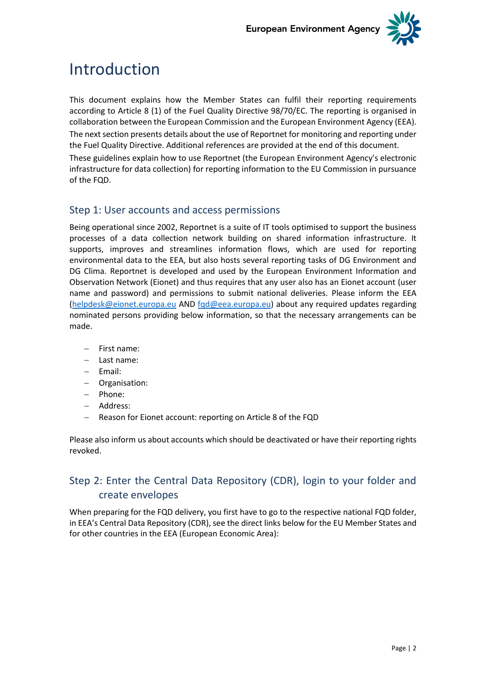

## Introduction

This document explains how the Member States can fulfil their reporting requirements according to Article 8 (1) of the Fuel Quality Directive 98/70/EC. The reporting is organised in collaboration between the European Commission and the European Environment Agency (EEA). The next section presents details about the use of Reportnet for monitoring and reporting under the Fuel Quality Directive. Additional references are provided at the end of this document. These guidelines explain how to use Reportnet (the European Environment Agency's electronic infrastructure for data collection) for reporting information to the EU Commission in pursuance of the FQD.

## Step 1: User accounts and access permissions

Being operational since 2002, Reportnet is a suite of IT tools optimised to support the business processes of a data collection network building on shared information infrastructure. It supports, improves and streamlines information flows, which are used for reporting environmental data to the EEA, but also hosts several reporting tasks of DG Environment and DG Clima. Reportnet is developed and used by the European Environment Information and Observation Network (Eionet) and thus requires that any user also has an Eionet account (user name and password) and permissions to submit national deliveries. Please inform the EEA [\(helpdesk@eionet.europa.eu](mailto:helpdesk@eionet.europa.eu) AND [fqd@eea.europa.eu\)](mailto:fqd@eea.europa.eu) about any required updates regarding nominated persons providing below information, so that the necessary arrangements can be made.

- First name:
- Last name:
- Fmail:
- Organisation:
- Phone:
- Address:
- Reason for Eionet account: reporting on Article 8 of the FQD

Please also inform us about accounts which should be deactivated or have their reporting rights revoked.

## Step 2: Enter the Central Data Repository (CDR), login to your folder and create envelopes

When preparing for the FQD delivery, you first have to go to the respective national FQD folder, in EEA's Central Data Repository (CDR), see the direct links below for the EU Member States and for other countries in the EEA (European Economic Area):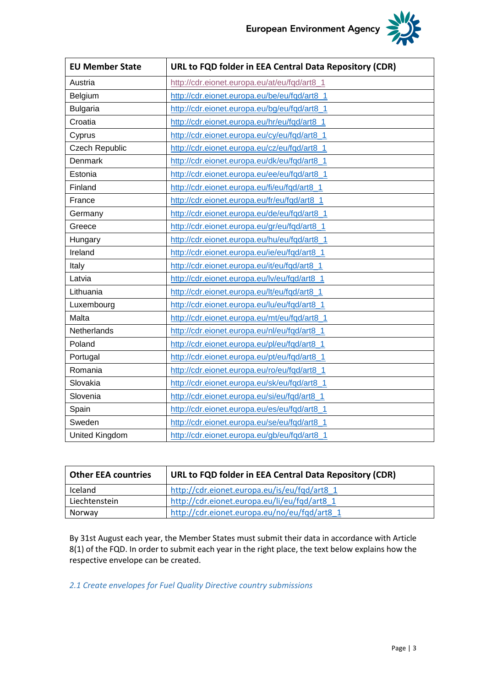

| <b>EU Member State</b> | URL to FQD folder in EEA Central Data Repository (CDR) |
|------------------------|--------------------------------------------------------|
| Austria                | http://cdr.eionet.europa.eu/at/eu/fqd/art8_1           |
| Belgium                | http://cdr.eionet.europa.eu/be/eu/fqd/art8_1           |
| <b>Bulgaria</b>        | http://cdr.eionet.europa.eu/bg/eu/fqd/art8_1           |
| Croatia                | http://cdr.eionet.europa.eu/hr/eu/fqd/art8_1           |
| Cyprus                 | http://cdr.eionet.europa.eu/cy/eu/fqd/art8_1           |
| <b>Czech Republic</b>  | http://cdr.eionet.europa.eu/cz/eu/fqd/art8_1           |
| Denmark                | http://cdr.eionet.europa.eu/dk/eu/fqd/art8_1           |
| Estonia                | http://cdr.eionet.europa.eu/ee/eu/fqd/art8_1           |
| Finland                | http://cdr.eionet.europa.eu/fi/eu/fqd/art8_1           |
| France                 | http://cdr.eionet.europa.eu/fr/eu/fqd/art8_1           |
| Germany                | http://cdr.eionet.europa.eu/de/eu/fqd/art8_1           |
| Greece                 | http://cdr.eionet.europa.eu/gr/eu/fqd/art8_1           |
| Hungary                | http://cdr.eionet.europa.eu/hu/eu/fqd/art8_1           |
| Ireland                | http://cdr.eionet.europa.eu/ie/eu/fqd/art8_1           |
| Italy                  | http://cdr.eionet.europa.eu/it/eu/fqd/art8_1           |
| Latvia                 | http://cdr.eionet.europa.eu/lv/eu/fqd/art8_1           |
| Lithuania              | http://cdr.eionet.europa.eu/lt/eu/fqd/art8_1           |
| Luxembourg             | http://cdr.eionet.europa.eu/lu/eu/fqd/art8_1           |
| Malta                  | http://cdr.eionet.europa.eu/mt/eu/fqd/art8_1           |
| Netherlands            | http://cdr.eionet.europa.eu/nl/eu/fqd/art8_1           |
| Poland                 | http://cdr.eionet.europa.eu/pl/eu/fqd/art8_1           |
| Portugal               | http://cdr.eionet.europa.eu/pt/eu/fqd/art8_1           |
| Romania                | http://cdr.eionet.europa.eu/ro/eu/fqd/art8_1           |
| Slovakia               | http://cdr.eionet.europa.eu/sk/eu/fqd/art8_1           |
| Slovenia               | http://cdr.eionet.europa.eu/si/eu/fqd/art8_1           |
| Spain                  | http://cdr.eionet.europa.eu/es/eu/fqd/art8_1           |
| Sweden                 | http://cdr.eionet.europa.eu/se/eu/fqd/art8_1           |
| United Kingdom         | http://cdr.eionet.europa.eu/gb/eu/fqd/art8_1           |

| <b>Other EEA countries</b> | URL to FQD folder in EEA Central Data Repository (CDR) |  |  |  |  |
|----------------------------|--------------------------------------------------------|--|--|--|--|
| Iceland                    | http://cdr.eionet.europa.eu/is/eu/fqd/art8 1           |  |  |  |  |
| Liechtenstein              | http://cdr.eionet.europa.eu/li/eu/fqd/art8 1           |  |  |  |  |
| Norway                     | http://cdr.eionet.europa.eu/no/eu/fqd/art8_1           |  |  |  |  |

By 31st August each year, the Member States must submit their data in accordance with Article 8(1) of the FQD. In order to submit each year in the right place, the text below explains how the respective envelope can be created.

*2.1 Create envelopes for Fuel Quality Directive country submissions*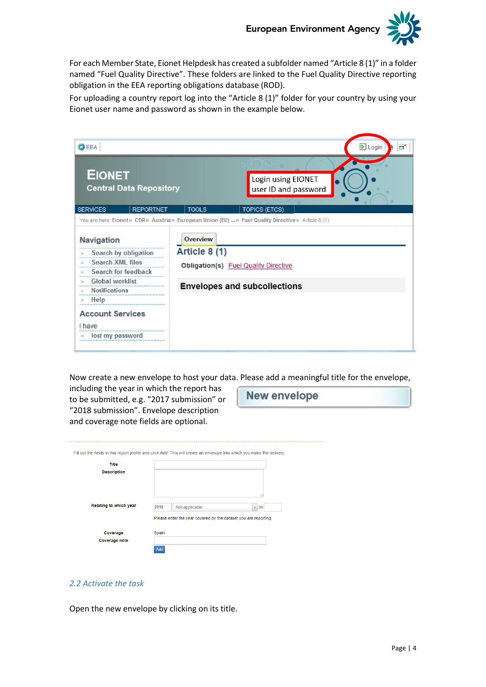

For each Member State, Eionet Helpdesk has created a subfolder named "Article 8 (1)" in a folder named "Fuel Quality Directive". These folders are linked to the Fuel Quality Directive reporting obligation in the EEA reporting obligations database (ROD).

For uploading a country report log into the "Article 8 (1)" folder for your country by using your Eionet user name and password as shown in the example below.

| 数EEA                                            |                 | <b>シ</b> Login<br>o'                                                                              |
|-------------------------------------------------|-----------------|---------------------------------------------------------------------------------------------------|
| <b>EIONET</b><br><b>Central Data Repository</b> |                 | Login using EIONET<br>user ID and password                                                        |
| <b>SERVICES</b><br><b>REPORTNET</b>             | <b>TOOLS</b>    | <b>TOPICS (ETCS)</b>                                                                              |
|                                                 |                 | You are here: Eionet» CDR» Austria» European Union (EU)  » Fuel Quality Directive » Article 8 (1) |
| <b>Navigation</b>                               | <b>Overview</b> |                                                                                                   |
| Search by obligation<br>$\gg$                   | Article 8 (1)   |                                                                                                   |
| <b>Search XML files</b><br>$\gg$                |                 | Obligation(s) Fuel Quality Directive                                                              |
| Search for feedback<br>55                       |                 |                                                                                                   |
| <b>Global worklist</b><br>35                    |                 |                                                                                                   |
| <b>Notifications</b>                            |                 | <b>Envelopes and subcollections</b>                                                               |
| Help                                            |                 |                                                                                                   |
| <b>Account Services</b><br><b>I</b> have        |                 |                                                                                                   |
| lost my password                                |                 |                                                                                                   |
|                                                 |                 |                                                                                                   |

Now create a new envelope to host your data. Please add a meaningful title for the envelope,

including the year in which the report has to be submitted, e.g. "2017 submission" or "2018 submission". Envelope description and coverage note fields are optional.

**New envelope** 

| Fill out the fields in this report profile and click Add. This will create an envelope into which you make the delivery. |       |                                                                |              |    |
|--------------------------------------------------------------------------------------------------------------------------|-------|----------------------------------------------------------------|--------------|----|
| Title                                                                                                                    |       |                                                                |              |    |
| <b>Description</b>                                                                                                       |       |                                                                |              |    |
|                                                                                                                          |       |                                                                |              |    |
|                                                                                                                          |       |                                                                |              |    |
| Relating to which year                                                                                                   |       |                                                                |              |    |
|                                                                                                                          | 2018  | Not applicable                                                 | $\mathbf{v}$ | to |
|                                                                                                                          |       | Please enter the year covered by the dataset you are reporting |              |    |
| Coverage                                                                                                                 | Spain |                                                                |              |    |
| <b>Coverage note</b>                                                                                                     |       |                                                                |              |    |
|                                                                                                                          | Add   |                                                                |              |    |

#### *2.2 Activate the task*

Open the new envelope by clicking on its title.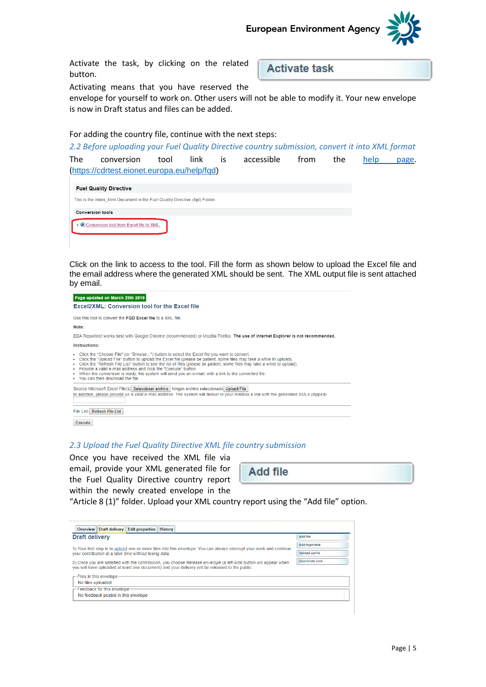

Activate the task, by clicking on the related button.

**Activate task** 

Activating means that you have reserved the

envelope for yourself to work on. Other users will not be able to modify it. Your new envelope is now in Draft status and files can be added.

For adding the country file, continue with the next steps:

*2.2 Before uploading your Fuel Quality Directive country submission, convert it into XML format* The conversion tool link is accessible from the [help page.](https://cdrtest.eionet.europa.eu/help/fqd) ([https://cdrtest.eionet.europa.eu/help/fqd\)](https://cdrtest.eionet.europa.eu/help/fqd)

| <b>Fuel Quality Directive</b>                                               |
|-----------------------------------------------------------------------------|
| This is the index html Document in the Fuel Quality Directive (fqd) Folder. |
| <b>Conversion tools</b>                                                     |
| Conversion tool from Excel file to XML.                                     |

Click on the link to access to the tool. Fill the form as shown below to upload the Excel file and the email address where the generated XML should be sent. The XML output file is sent attached by email.



#### *2.3 Upload the Fuel Quality Directive XML file country submission*

Once you have received the XML file via email, provide your XML generated file for the Fuel Quality Directive country report within the newly created envelope in the

**Add file** 

"Article 8 (1)" folder. Upload your XML country report using the "Add file" option.

| Overview                                                                                                                                                                                                                                | Draft delivery                                                              | Edit properties | <b>History</b> |                      |  |
|-----------------------------------------------------------------------------------------------------------------------------------------------------------------------------------------------------------------------------------------|-----------------------------------------------------------------------------|-----------------|----------------|----------------------|--|
| <b>Draft delivery</b>                                                                                                                                                                                                                   |                                                                             |                 |                | <b>Add file</b>      |  |
|                                                                                                                                                                                                                                         |                                                                             |                 |                | <b>Add hyperlink</b> |  |
| 1) Your first step is to upload one or more files into this envelope. You can always interrupt your work and continue<br><b>Upload zipfile</b><br>your contribution at a later time without losing data.                                |                                                                             |                 |                |                      |  |
| Deactivate task<br>2) Once you are satisfied with the contribution, you choose Release envelope (a left-side button will appear when<br>you will have uploaded at least one document) and your delivery will be released to the public. |                                                                             |                 |                |                      |  |
| $\leftarrow$ Files in this envelope.<br>No files uploaded                                                                                                                                                                               |                                                                             |                 |                |                      |  |
|                                                                                                                                                                                                                                         | $\Gamma$ Feedback for this envelope-<br>No feedback posted in this envelope |                 |                |                      |  |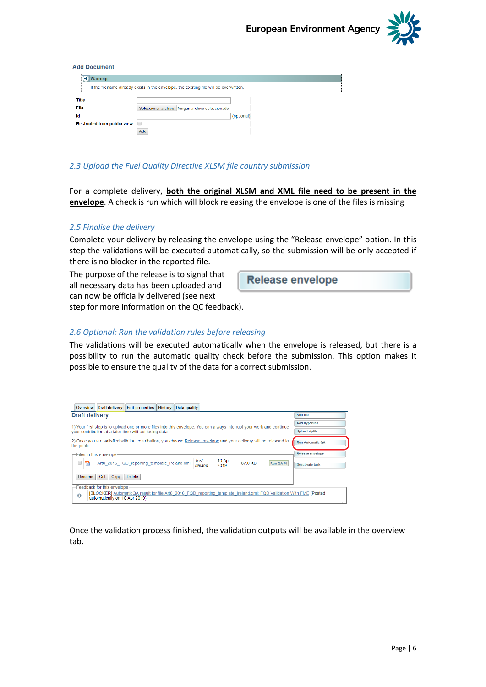

| <b>Add Document</b>                |                                                                                        |            |  |
|------------------------------------|----------------------------------------------------------------------------------------|------------|--|
| Warning:<br>→.                     |                                                                                        |            |  |
|                                    | If the filename already exists in the envelope, the existing file will be overwritten. |            |  |
| Title                              |                                                                                        |            |  |
| File                               | Seleccionar archivo Ningún archivo seleccionado                                        |            |  |
| Id                                 |                                                                                        | (optional) |  |
| <b>Restricted from public view</b> |                                                                                        |            |  |
|                                    | Add                                                                                    |            |  |

#### *2.3 Upload the Fuel Quality Directive XLSM file country submission*

For a complete delivery, **both the original XLSM and XML file need to be present in the envelope**. A check is run which will block releasing the envelope is one of the files is missing

#### *2.5 Finalise the delivery*

Complete your delivery by releasing the envelope using the "Release envelope" option. In this step the validations will be executed automatically, so the submission will be only accepted if there is no blocker in the reported file.

The purpose of the release is to signal that all necessary data has been uploaded and can now be officially delivered (see next step for more information on the QC feedback).

**Release envelope** 

#### *2.6 Optional: Run the validation rules before releasing*

The validations will be executed automatically when the envelope is released, but there is a possibility to run the automatic quality check before the submission. This option makes it possible to ensure the quality of the data for a correct submission.

| <b>Overview</b>                     |                               | Draft delivery Edit properties                                                                                        | <b>History</b> | Data quality |         |                |         |           |                                                                                                                     |
|-------------------------------------|-------------------------------|-----------------------------------------------------------------------------------------------------------------------|----------------|--------------|---------|----------------|---------|-----------|---------------------------------------------------------------------------------------------------------------------|
| <b>Draft delivery</b>               |                               |                                                                                                                       |                |              |         |                |         |           | Add file                                                                                                            |
|                                     |                               | 1) Your first step is to upload one or more files into this envelope. You can always interrupt your work and continue |                |              |         |                |         |           | <b>Add hyperlink</b>                                                                                                |
|                                     |                               | vour contribution at a later time without losing data.                                                                |                |              |         |                |         |           | <b>Upload zipfile</b>                                                                                               |
| the public.                         |                               | 2) Once you are satisfied with the contribution, you choose Release envelope and your delivery will be released to    |                |              |         |                |         |           | <b>Run Automatic QA</b>                                                                                             |
| $\sqsubset$ Files in this envelope: |                               |                                                                                                                       |                |              |         |                |         |           | Release envelope                                                                                                    |
| $\Box$<br><b>BIZE</b>               |                               | Art8 2016 FQD reporting template Ireland.xml                                                                          |                | Test         | Ireland | 10 Apr<br>2019 | 87.0 KB | Run QA #1 | Deactivate task                                                                                                     |
| Rename                              | Cut<br>Copy                   | Delete                                                                                                                |                |              |         |                |         |           |                                                                                                                     |
|                                     | - Feedback for this envelope- |                                                                                                                       |                |              |         |                |         |           |                                                                                                                     |
| O                                   | automatically on 10 Apr 2019) |                                                                                                                       |                |              |         |                |         |           | [BLOCKER] AutomaticQA result for file Art8 2016 FQD reporting template Ireland.xml: FQD Validation With FME (Posted |

Once the validation process finished, the validation outputs will be available in the overview tab.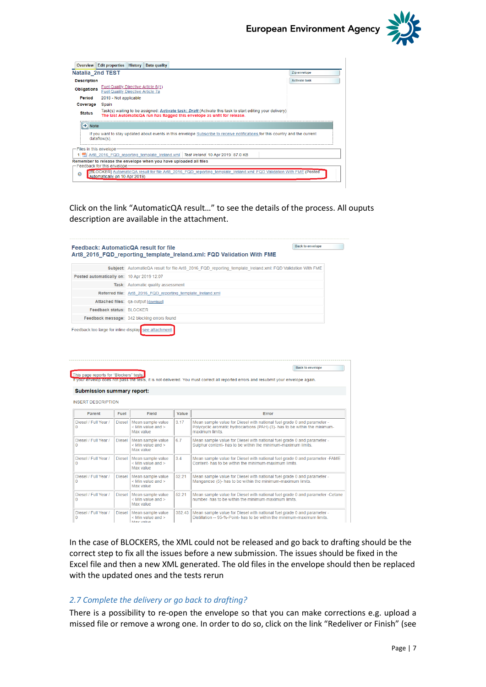

| <b>Overview</b>                 | <b>Edit properties History</b>                                           | Data quality                                                                                                                                                                                |                      |
|---------------------------------|--------------------------------------------------------------------------|---------------------------------------------------------------------------------------------------------------------------------------------------------------------------------------------|----------------------|
| <b>Natalia 2nd TEST</b>         |                                                                          |                                                                                                                                                                                             | Zip envelope         |
| <b>Description</b>              |                                                                          |                                                                                                                                                                                             | <b>Activate task</b> |
| <b>Obligations</b>              | Fuel Quality Directive Article 8(1)<br>Fuel Quality Directive Article 7a |                                                                                                                                                                                             |                      |
| Period                          | 2018 - Not applicable                                                    |                                                                                                                                                                                             |                      |
| Coverage                        | Spain                                                                    |                                                                                                                                                                                             |                      |
| <b>Status</b>                   |                                                                          | Task(s) waiting to be assigned: Activate task: <i>Draft</i> (Activate this task to start editing your delivery)<br>The last AutomaticQA run has flagged this envelope as unfit for release. |                      |
| $\rightarrow$ Note              |                                                                          |                                                                                                                                                                                             |                      |
|                                 | $dataflow(s)$ .                                                          | If you want to stay updated about events in this envelope Subscribe to receive notifications for this country and the current                                                               |                      |
| $\Gamma$ Files in this envelope |                                                                          |                                                                                                                                                                                             |                      |
|                                 |                                                                          | 1 Fa Art8 2016 FQD reporting template Ireland.xml Test Ireland 10 Apr 2019 87.0 KB                                                                                                          |                      |
|                                 | $\leftarrow$ Feedback for this envelope.                                 | Remember to release the envelope when you have uploaded all files                                                                                                                           |                      |
| െ                               | Lautomatically on 10 Apr 2019)                                           | [BLOCKER] AutomaticQA result for file Art8 2016 FQD reporting template Ireland.xml: FQD Validation With FME (Posted                                                                         |                      |

Click on the link "AutomaticQA result…" to see the details of the process. All ouputs description are available in the attachment.

|                                                                                                                                                                                                                                                 |                       | Feedback: AutomaticQA result for file                            |               |                                                                                                                                                                                  | <b>Back to envelope</b> |
|-------------------------------------------------------------------------------------------------------------------------------------------------------------------------------------------------------------------------------------------------|-----------------------|------------------------------------------------------------------|---------------|----------------------------------------------------------------------------------------------------------------------------------------------------------------------------------|-------------------------|
|                                                                                                                                                                                                                                                 |                       |                                                                  |               | Art8 2016 FQD reporting template Ireland.xml: FQD Validation With FME                                                                                                            |                         |
|                                                                                                                                                                                                                                                 |                       |                                                                  |               | Subject: AutomaticQA result for file Art8 2016 FQD reporting template Ireland.xml: FQD Validation With FME                                                                       |                         |
| Posted automatically on: 10 Apr 2019 12:07                                                                                                                                                                                                      |                       |                                                                  |               |                                                                                                                                                                                  |                         |
|                                                                                                                                                                                                                                                 |                       | <b>Task:</b> Automatic quality assessment                        |               |                                                                                                                                                                                  |                         |
|                                                                                                                                                                                                                                                 |                       | Referred file: Art8 2016 FQD reporting template Ireland.xml      |               |                                                                                                                                                                                  |                         |
|                                                                                                                                                                                                                                                 |                       | Attached files: qa-output [download]                             |               |                                                                                                                                                                                  |                         |
| <b>Feedback status: BLOCKER</b>                                                                                                                                                                                                                 |                       |                                                                  |               |                                                                                                                                                                                  |                         |
|                                                                                                                                                                                                                                                 |                       | Feedback message: 342 blocking errors found                      |               |                                                                                                                                                                                  |                         |
| This page reports for "Blockers" tests.                                                                                                                                                                                                         |                       |                                                                  |               |                                                                                                                                                                                  | <b>Back to envelope</b> |
|                                                                                                                                                                                                                                                 |                       |                                                                  |               | If your envelop does not pass the tests, it is not delivered. You must correct all reported errors and resubmit your envelope again.                                             |                         |
|                                                                                                                                                                                                                                                 |                       |                                                                  |               |                                                                                                                                                                                  |                         |
| <b>Parent</b>                                                                                                                                                                                                                                   | Fuel<br><b>Diesel</b> | Field<br>Mean sample value<br>$<$ Min value and $>$<br>Max value | Value<br>3.17 | Error<br>Mean sample value for Diesel with national fuel grade 0 and parameter -<br>Polycyclic aromatic hydrocarbons (PAH) (3)- has to be within the minimum-<br>maximum limits. |                         |
|                                                                                                                                                                                                                                                 | <b>Diesel</b>         | Mean sample value<br>$<$ Min value and $>$<br>Max value          | 6.7           | Mean sample value for Diesel with national fuel grade 0 and parameter -<br>Sulphur content- has to be within the minimum-maximum limits.                                         |                         |
|                                                                                                                                                                                                                                                 | <b>Diesel</b>         | Mean sample value<br>$<$ Min value and $>$<br>Max value          | 3.4           | Mean sample value for Diesel with national fuel grade 0 and parameter -FAME<br>Content- has to be within the minimum-maximum limits.                                             |                         |
|                                                                                                                                                                                                                                                 | <b>Diesel</b>         | Mean sample value<br>$<$ Min value and $>$<br>Max value          | 52.21         | Mean sample value for Diesel with national fuel grade 0 and parameter -<br>Manganese (5)- has to be within the minimum-maximum limits.                                           |                         |
| <b>Submission summary report:</b><br><b>INSERT DESCRIPTION</b><br>Diesel / Full Year /<br>$\mathbf{0}$<br>Diesel / Full Year /<br>$\Omega$<br>Diesel / Full Year /<br>$\Omega$<br>Diesel / Full Year /<br>$\Omega$<br>Diesel / Full Year /<br>0 | <b>Diesel</b>         | Mean sample value<br>$<$ Min value and $>$<br>Max value          | 52.21         | Mean sample value for Diesel with national fuel grade 0 and parameter -Cetane<br>number- has to be within the minimum-maximum limits.                                            |                         |

In the case of BLOCKERS, the XML could not be released and go back to drafting should be the correct step to fix all the issues before a new submission. The issues should be fixed in the Excel file and then a new XML generated. The old files in the envelope should then be replaced with the updated ones and the tests rerun

#### *2.7 Complete the delivery or go back to drafting?*

There is a possibility to re-open the envelope so that you can make corrections e.g. upload a missed file or remove a wrong one. In order to do so, click on the link "Redeliver or Finish" (see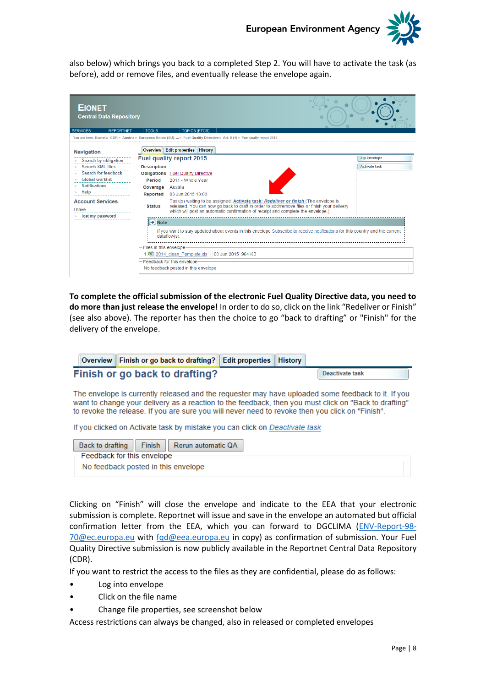

also below) which brings you back to a completed Step 2. You will have to activate the task (as before), add or remove files, and eventually release the envelope again.

| <b>Central Data Repository</b> |                                                                                                                                                                                                                                                                               |                                                                                                                                                                                                                                                                                                                                                                                                                                                                                                                                                                                                         |
|--------------------------------|-------------------------------------------------------------------------------------------------------------------------------------------------------------------------------------------------------------------------------------------------------------------------------|---------------------------------------------------------------------------------------------------------------------------------------------------------------------------------------------------------------------------------------------------------------------------------------------------------------------------------------------------------------------------------------------------------------------------------------------------------------------------------------------------------------------------------------------------------------------------------------------------------|
|                                |                                                                                                                                                                                                                                                                               |                                                                                                                                                                                                                                                                                                                                                                                                                                                                                                                                                                                                         |
|                                |                                                                                                                                                                                                                                                                               |                                                                                                                                                                                                                                                                                                                                                                                                                                                                                                                                                                                                         |
|                                |                                                                                                                                                                                                                                                                               | <b>Zip Envelope</b>                                                                                                                                                                                                                                                                                                                                                                                                                                                                                                                                                                                     |
| <b>Description</b>             |                                                                                                                                                                                                                                                                               | <b>Activate task</b>                                                                                                                                                                                                                                                                                                                                                                                                                                                                                                                                                                                    |
|                                |                                                                                                                                                                                                                                                                               |                                                                                                                                                                                                                                                                                                                                                                                                                                                                                                                                                                                                         |
| Period                         | 2014 - Whole Year                                                                                                                                                                                                                                                             |                                                                                                                                                                                                                                                                                                                                                                                                                                                                                                                                                                                                         |
| Coverage                       | Austria                                                                                                                                                                                                                                                                       |                                                                                                                                                                                                                                                                                                                                                                                                                                                                                                                                                                                                         |
| Reported                       | 03 Jun 2015 18:03                                                                                                                                                                                                                                                             |                                                                                                                                                                                                                                                                                                                                                                                                                                                                                                                                                                                                         |
| <b>Status</b>                  | Task(s) waiting to be assigned: <b>Activate task: Redeliver or finish</b> (The envelope is<br>released. You can now go back to draft in order to add/remove files or finish your delivery<br>which will post an automatic confirmation of receipt and complete the envelope.) |                                                                                                                                                                                                                                                                                                                                                                                                                                                                                                                                                                                                         |
|                                |                                                                                                                                                                                                                                                                               |                                                                                                                                                                                                                                                                                                                                                                                                                                                                                                                                                                                                         |
|                                |                                                                                                                                                                                                                                                                               |                                                                                                                                                                                                                                                                                                                                                                                                                                                                                                                                                                                                         |
|                                |                                                                                                                                                                                                                                                                               |                                                                                                                                                                                                                                                                                                                                                                                                                                                                                                                                                                                                         |
|                                |                                                                                                                                                                                                                                                                               |                                                                                                                                                                                                                                                                                                                                                                                                                                                                                                                                                                                                         |
|                                |                                                                                                                                                                                                                                                                               |                                                                                                                                                                                                                                                                                                                                                                                                                                                                                                                                                                                                         |
|                                |                                                                                                                                                                                                                                                                               |                                                                                                                                                                                                                                                                                                                                                                                                                                                                                                                                                                                                         |
|                                | <b>TOOLS</b>                                                                                                                                                                                                                                                                  | <b>TOPICS (ETCS)</b><br>You are here: Eionet » CDR » Austria » European Union (EU),  » Fuel Quality Directive » Art, 8 (1) » Fuel quality report 2015<br>Overview   Edit properties   History<br><b>Fuel quality report 2015</b><br><b>Obligations</b> Fuel Quality Directive<br>$\rightarrow$ Note<br>If you want to stay updated about events in this envelope Subscribe to receive notifications for this country and the current<br>dataflow(s).<br>-Files in this envelope-<br>图 2014 clean Template.xls 03 Jun 2015 964 KB<br>-Feedback for this envelope-<br>No feedback posted in this envelope |

**To complete the official submission of the electronic Fuel Quality Directive data, you need to do more than just release the envelope!** In order to do so, click on the link "Redeliver or Finish" (see also above). The reporter has then the choice to go "back to drafting" or "Finish" for the delivery of the envelope.

| Overview Finish or go back to drafting? Edit properties   History |  |                 |
|-------------------------------------------------------------------|--|-----------------|
| Finish or go back to drafting?                                    |  | Deactivate task |

The envelope is currently released and the requester may have uploaded some feedback to it. If you want to change your delivery as a reaction to the feedback, then you must click on "Back to drafting" to revoke the release. If you are sure you will never need to revoke then you click on "Finish".

If you clicked on Activate task by mistake you can click on Deactivate task

|                               | Back to drafting Finish Rerun automatic QA |  |
|-------------------------------|--------------------------------------------|--|
| -Feedback for this envelope - |                                            |  |
|                               | No feedback posted in this envelope        |  |

Clicking on "Finish" will close the envelope and indicate to the EEA that your electronic submission is complete. Reportnet will issue and save in the envelope an automated but official confirmation letter from the EEA, which you can forward to DGCLIMA [\(ENV-Report-98-](mailto:ENV-Report-98-70@ec.europa.eu) [70@ec.europa.eu](mailto:ENV-Report-98-70@ec.europa.eu) with [fqd@eea.europa.eu](mailto:fqd@eea.europa.eu) in copy) as confirmation of submission. Your Fuel Quality Directive submission is now publicly available in the Reportnet Central Data Repository (CDR).

If you want to restrict the access to the files as they are confidential, please do as follows:

- Log into envelope
- Click on the file name
- Change file properties, see screenshot below

Access restrictions can always be changed, also in released or completed envelopes